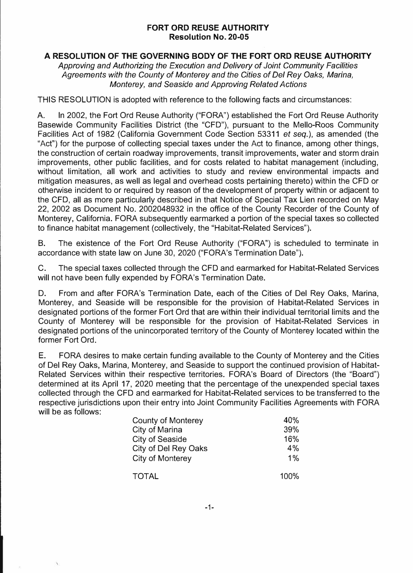## **FORT ORD REUSE AUTHORITY Resolution No. 20-05**

## **A RESOLUTION OF THE GOVERNING BODY OF THE FORT ORD REUSE AUTHORITY**

*Approving and Authorizing the Execution and Delivery of Joint Community Facilities Agreements with the County of Monterey and the Cities of Del Rey Oaks, Marina, Monterey, and Seaside and Approving Related Actions* 

THIS RESOLUTION is adopted with reference to the following facts and circumstances:

A. In 2002, the Fort Ord Reuse Authority ("FORA") established the Fort Ord Reuse Authority Basewide Community Facilities District (the "CFO"), pursuant to the Mello-Roos Community Facilities Act of 1982 (California Government Code Section 53311 *et seq.),* as amended (the "Act") for the purpose of collecting special taxes under the Act to finance, among other things, the construction of certain roadway improvements, transit improvements, water and storm drain improvements, other public facilities, and for costs related to habitat management (including, without limitation, all work and activities to study and review environmental impacts and mitigation measures, as well as legal and overhead costs pertaining thereto) within the CFO or otherwise incident to or required by reason of the development of property within or adjacent to the CFO, all as more particularly described in that Notice of Special Tax Lien recorded on May 22, 2002 as Document No. 2002048932 in the office of the County Recorder of the County of Monterey, California. FORA subsequently earmarked a portion of the special taxes so collected to finance habitat management (collectively, the "Habitat-Related Services").

B. The existence of the Fort Ord Reuse Authority ("FORA") is scheduled to terminate in accordance with state law on June 30, 2020 ("FORA's Termination Date").

C. The special taxes collected through the CFO and earmarked for Habitat-Related Services will not have been fully expended by FORA's Termination Date.

D. From and after FORA's Termination Date, each of the Cities of Del Rey Oaks, Marina, Monterey, and Seaside will be responsible for the provision of Habitat-Related Services in designated portions of the former Fort Ord that are within their individual territorial limits and the County of Monterey will be responsible for the provision of Habitat-Related Services in designated portions of the unincorporated territory of the County of Monterey located within the former Fort Ord.

E. FORA desires to make certain funding available to the County of Monterey and the Cities of Del Rey Oaks, Marina, Monterey, and Seaside to support the continued provision of Habitat-Related Services within their respective territories. FORA's Board of Directors (the "Board") determined at its April 17, 2020 meeting that the percentage of the unexpended special taxes collected through the CFO and earmarked for Habitat-Related services to be transferred to the respective jurisdictions upon their entry into Joint Community Facilities Agreements with FORA will be as follows:

| <b>County of Monterey</b> | 40%  |
|---------------------------|------|
| City of Marina            | 39%  |
| <b>City of Seaside</b>    | 16%  |
| City of Del Rey Oaks      | 4%   |
| City of Monterey          | 1%   |
| <b>TOTAL</b>              | 100% |